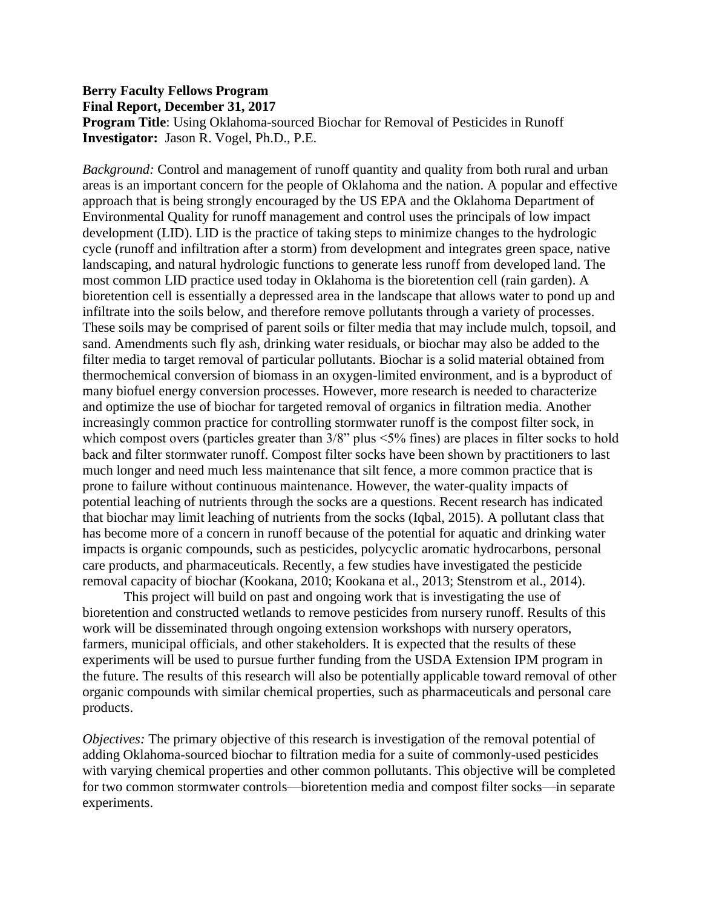## **Berry Faculty Fellows Program Final Report, December 31, 2017**

**Program Title**: Using Oklahoma-sourced Biochar for Removal of Pesticides in Runoff **Investigator:** Jason R. Vogel, Ph.D., P.E.

*Background:* Control and management of runoff quantity and quality from both rural and urban areas is an important concern for the people of Oklahoma and the nation. A popular and effective approach that is being strongly encouraged by the US EPA and the Oklahoma Department of Environmental Quality for runoff management and control uses the principals of low impact development (LID). LID is the practice of taking steps to minimize changes to the hydrologic cycle (runoff and infiltration after a storm) from development and integrates green space, native landscaping, and natural hydrologic functions to generate less runoff from developed land. The most common LID practice used today in Oklahoma is the bioretention cell (rain garden). A bioretention cell is essentially a depressed area in the landscape that allows water to pond up and infiltrate into the soils below, and therefore remove pollutants through a variety of processes. These soils may be comprised of parent soils or filter media that may include mulch, topsoil, and sand. Amendments such fly ash, drinking water residuals, or biochar may also be added to the filter media to target removal of particular pollutants. Biochar is a solid material obtained from thermochemical conversion of biomass in an oxygen-limited environment, and is a byproduct of many biofuel energy conversion processes. However, more research is needed to characterize and optimize the use of biochar for targeted removal of organics in filtration media. Another increasingly common practice for controlling stormwater runoff is the compost filter sock, in which compost overs (particles greater than  $3/8$ " plus <5% fines) are places in filter socks to hold back and filter stormwater runoff. Compost filter socks have been shown by practitioners to last much longer and need much less maintenance that silt fence, a more common practice that is prone to failure without continuous maintenance. However, the water-quality impacts of potential leaching of nutrients through the socks are a questions. Recent research has indicated that biochar may limit leaching of nutrients from the socks (Iqbal, 2015). A pollutant class that has become more of a concern in runoff because of the potential for aquatic and drinking water impacts is organic compounds, such as pesticides, polycyclic aromatic hydrocarbons, personal care products, and pharmaceuticals. Recently, a few studies have investigated the pesticide removal capacity of biochar (Kookana, 2010; Kookana et al., 2013; Stenstrom et al., 2014).

This project will build on past and ongoing work that is investigating the use of bioretention and constructed wetlands to remove pesticides from nursery runoff. Results of this work will be disseminated through ongoing extension workshops with nursery operators, farmers, municipal officials, and other stakeholders. It is expected that the results of these experiments will be used to pursue further funding from the USDA Extension IPM program in the future. The results of this research will also be potentially applicable toward removal of other organic compounds with similar chemical properties, such as pharmaceuticals and personal care products.

*Objectives:* The primary objective of this research is investigation of the removal potential of adding Oklahoma-sourced biochar to filtration media for a suite of commonly-used pesticides with varying chemical properties and other common pollutants. This objective will be completed for two common stormwater controls—bioretention media and compost filter socks—in separate experiments.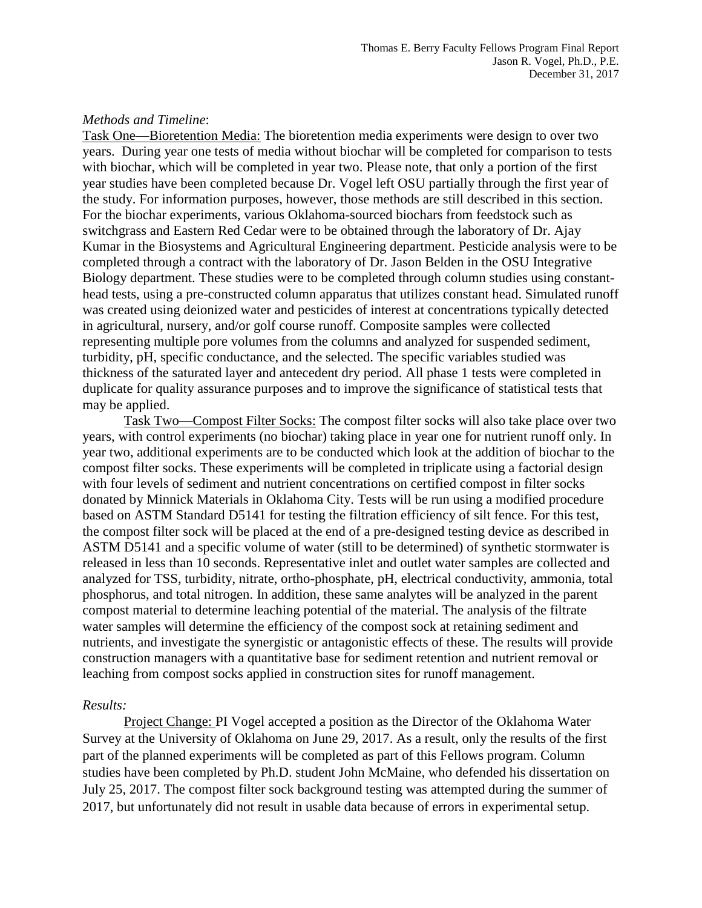## *Methods and Timeline*:

Task One—Bioretention Media: The bioretention media experiments were design to over two years. During year one tests of media without biochar will be completed for comparison to tests with biochar, which will be completed in year two. Please note, that only a portion of the first year studies have been completed because Dr. Vogel left OSU partially through the first year of the study. For information purposes, however, those methods are still described in this section. For the biochar experiments, various Oklahoma-sourced biochars from feedstock such as switchgrass and Eastern Red Cedar were to be obtained through the laboratory of Dr. Ajay Kumar in the Biosystems and Agricultural Engineering department. Pesticide analysis were to be completed through a contract with the laboratory of Dr. Jason Belden in the OSU Integrative Biology department. These studies were to be completed through column studies using constanthead tests, using a pre-constructed column apparatus that utilizes constant head. Simulated runoff was created using deionized water and pesticides of interest at concentrations typically detected in agricultural, nursery, and/or golf course runoff. Composite samples were collected representing multiple pore volumes from the columns and analyzed for suspended sediment, turbidity, pH, specific conductance, and the selected. The specific variables studied was thickness of the saturated layer and antecedent dry period. All phase 1 tests were completed in duplicate for quality assurance purposes and to improve the significance of statistical tests that may be applied.

Task Two—Compost Filter Socks: The compost filter socks will also take place over two years, with control experiments (no biochar) taking place in year one for nutrient runoff only. In year two, additional experiments are to be conducted which look at the addition of biochar to the compost filter socks. These experiments will be completed in triplicate using a factorial design with four levels of sediment and nutrient concentrations on certified compost in filter socks donated by Minnick Materials in Oklahoma City. Tests will be run using a modified procedure based on ASTM Standard D5141 for testing the filtration efficiency of silt fence. For this test, the compost filter sock will be placed at the end of a pre-designed testing device as described in ASTM D5141 and a specific volume of water (still to be determined) of synthetic stormwater is released in less than 10 seconds. Representative inlet and outlet water samples are collected and analyzed for TSS, turbidity, nitrate, ortho-phosphate, pH, electrical conductivity, ammonia, total phosphorus, and total nitrogen. In addition, these same analytes will be analyzed in the parent compost material to determine leaching potential of the material. The analysis of the filtrate water samples will determine the efficiency of the compost sock at retaining sediment and nutrients, and investigate the synergistic or antagonistic effects of these. The results will provide construction managers with a quantitative base for sediment retention and nutrient removal or leaching from compost socks applied in construction sites for runoff management.

## *Results:*

Project Change: PI Vogel accepted a position as the Director of the Oklahoma Water Survey at the University of Oklahoma on June 29, 2017. As a result, only the results of the first part of the planned experiments will be completed as part of this Fellows program. Column studies have been completed by Ph.D. student John McMaine, who defended his dissertation on July 25, 2017. The compost filter sock background testing was attempted during the summer of 2017, but unfortunately did not result in usable data because of errors in experimental setup.